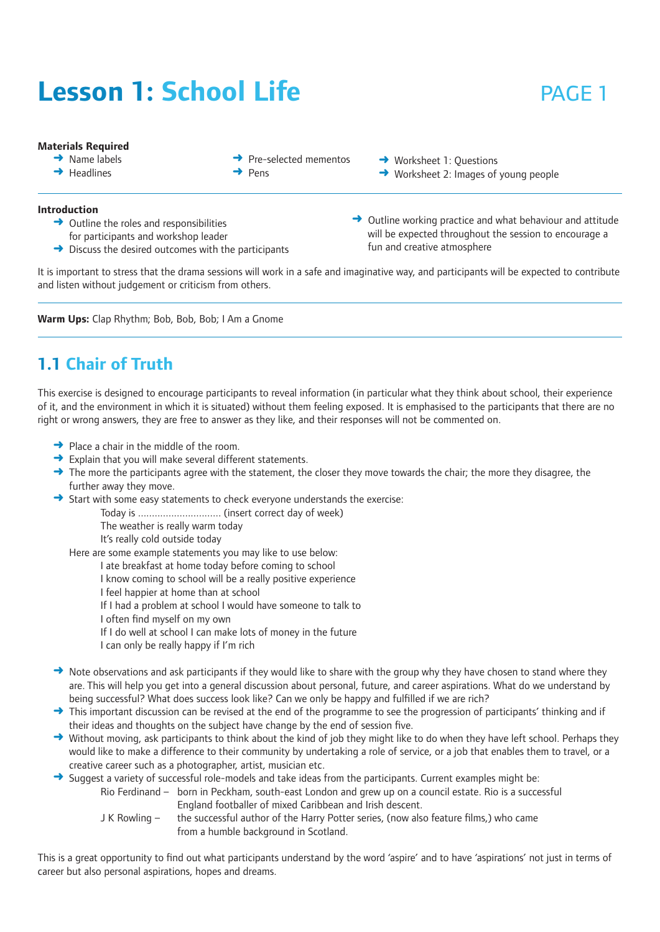# **Lesson 1: School Life Example 20 PAGE 1**

#### **Materials Required**

- $\rightarrow$  Name labels
- $\rightarrow$  Headlines
- **→** Pre-selected mementos
- ➜ Pens

**→** Worksheet 1: Questions ➜ Worksheet 2: Images of young people

- **Introduction**
	- $\rightarrow$  Outline the roles and responsibilities for participants and workshop leader
	- $\rightarrow$  Discuss the desired outcomes with the participants
- $\rightarrow$  Outline working practice and what behaviour and attitude will be expected throughout the session to encourage a fun and creative atmosphere

It is important to stress that the drama sessions will work in a safe and imaginative way, and participants will be expected to contribute and listen without judgement or criticism from others.

**Warm Ups:** Clap Rhythm; Bob, Bob, Bob; I Am a Gnome

## **1.1 Chair of Truth**

This exercise is designed to encourage participants to reveal information (in particular what they think about school, their experience of it, and the environment in which it is situated) without them feeling exposed. It is emphasised to the participants that there are no right or wrong answers, they are free to answer as they like, and their responses will not be commented on.

- **→** Place a chair in the middle of the room.
- **→** Explain that you will make several different statements.
- $\rightarrow$  The more the participants agree with the statement, the closer they move towards the chair; the more they disagree, the further away they move.
- → Start with some easy statements to check everyone understands the exercise:

Today is .............................. (insert correct day of week)

The weather is really warm today

It's really cold outside today

Here are some example statements you may like to use below:

I ate breakfast at home today before coming to school

I know coming to school will be a really positive experience

- I feel happier at home than at school
- If I had a problem at school I would have someone to talk to
- I often find myself on my own
- If I do well at school I can make lots of money in the future
- I can only be really happy if I'm rich
- $\rightarrow$  Note observations and ask participants if they would like to share with the group why they have chosen to stand where they are. This will help you get into a general discussion about personal, future, and career aspirations. What do we understand by being successful? What does success look like? Can we only be happy and fulfilled if we are rich?
- $\rightarrow$  This important discussion can be revised at the end of the programme to see the progression of participants' thinking and if their ideas and thoughts on the subject have change by the end of session five.
- → Without moving, ask participants to think about the kind of job they might like to do when they have left school. Perhaps they would like to make a difference to their community by undertaking a role of service, or a job that enables them to travel, or a creative career such as a photographer, artist, musician etc.
- $\rightarrow$  Suggest a variety of successful role-models and take ideas from the participants. Current examples might be:
	- Rio Ferdinand born in Peckham, south-east London and grew up on a council estate. Rio is a successful England footballer of mixed Caribbean and Irish descent.
	- J K Rowling the successful author of the Harry Potter series, (now also feature films,) who came from a humble background in Scotland.

This is a great opportunity to find out what participants understand by the word 'aspire' and to have 'aspirations' not just in terms of career but also personal aspirations, hopes and dreams.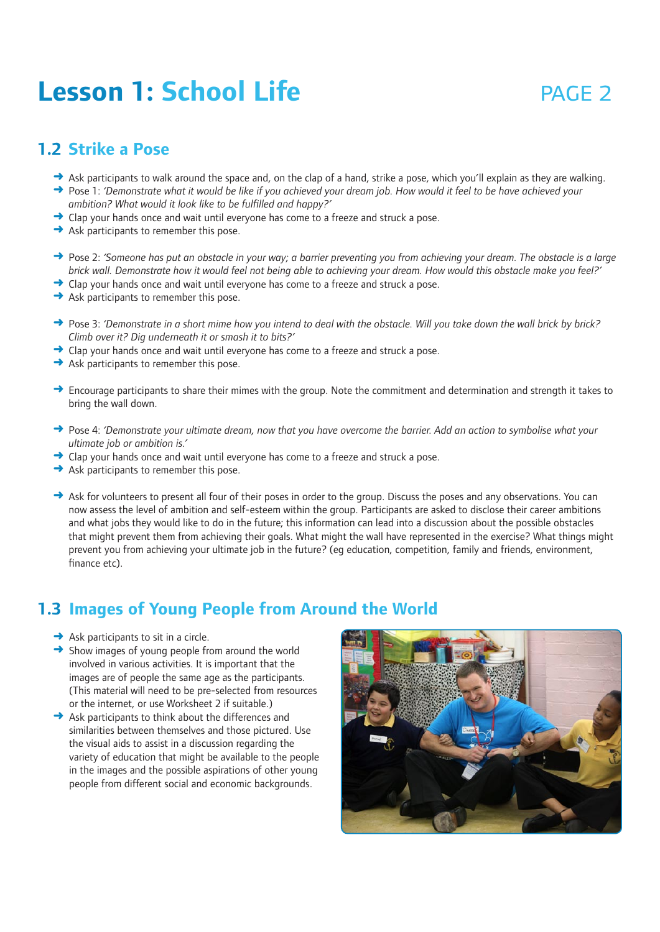# **Lesson 1: School Life Example 2** PAGE 2

#### **1.2 Strike a Pose**

- → Ask participants to walk around the space and, on the clap of a hand, strike a pose, which you'll explain as they are walking.
- ➜ Pose 1: *'Demonstrate what it would be like if you achieved your dream job. How would it feel to be have achieved your ambition? What would it look like to be fulfilled and happy?'*
- **→** Clap your hands once and wait until everyone has come to a freeze and struck a pose.
- $\rightarrow$  Ask participants to remember this pose.
- ➜ Pose 2: *'Someone has put an obstacle in your way; a barrier preventing you from achieving your dream. The obstacle is a large brick wall. Demonstrate how it would feel not being able to achieving your dream. How would this obstacle make you feel?'*
- **→** Clap your hands once and wait until everyone has come to a freeze and struck a pose.
- $\rightarrow$  Ask participants to remember this pose.
- ➜ Pose 3: *'Demonstrate in a short mime how you intend to deal with the obstacle. Will you take down the wall brick by brick? Climb over it? Dig underneath it or smash it to bits?'*
- **→** Clap your hands once and wait until everyone has come to a freeze and struck a pose.
- $\rightarrow$  Ask participants to remember this pose.
- → Encourage participants to share their mimes with the group. Note the commitment and determination and strength it takes to bring the wall down.
- ➜ Pose 4: *'Demonstrate your ultimate dream, now that you have overcome the barrier. Add an action to symbolise what your ultimate job or ambition is.'*
- $\rightarrow$  Clap your hands once and wait until everyone has come to a freeze and struck a pose.
- $\rightarrow$  Ask participants to remember this pose.
- → Ask for volunteers to present all four of their poses in order to the group. Discuss the poses and any observations. You can now assess the level of ambition and self-esteem within the group. Participants are asked to disclose their career ambitions and what jobs they would like to do in the future; this information can lead into a discussion about the possible obstacles that might prevent them from achieving their goals. What might the wall have represented in the exercise? What things might prevent you from achieving your ultimate job in the future? (eg education, competition, family and friends, environment, finance etc).

#### **1.3 Images of Young People from Around the World**

- $\rightarrow$  Ask participants to sit in a circle.
- $\rightarrow$  Show images of young people from around the world involved in various activities. It is important that the images are of people the same age as the participants. (This material will need to be pre-selected from resources or the internet, or use Worksheet 2 if suitable.)
- **→** Ask participants to think about the differences and similarities between themselves and those pictured. Use the visual aids to assist in a discussion regarding the variety of education that might be available to the people in the images and the possible aspirations of other young people from different social and economic backgrounds.

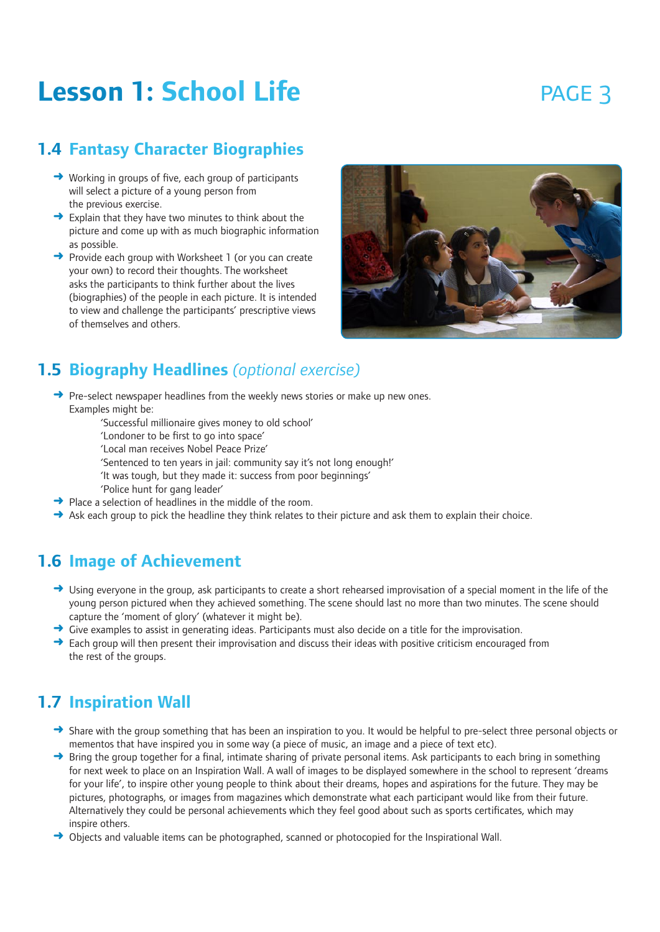# **Lesson 1: School Life Example 3** PAGE 3

### **1.4 Fantasy Character Biographies**

- ➜ Working in groups of five, each group of participants will select a picture of a young person from the previous exercise.
- $\rightarrow$  Explain that they have two minutes to think about the picture and come up with as much biographic information as possible.
- ➜ Provide each group with Worksheet 1 (or you can create your own) to record their thoughts. The worksheet asks the participants to think further about the lives (biographies) of the people in each picture. It is intended to view and challenge the participants' prescriptive views of themselves and others.



### **1.5 Biography Headlines** *(optional exercise)*

- **→** Pre-select newspaper headlines from the weekly news stories or make up new ones. Examples might be:
	- 'Successful millionaire gives money to old school'
	- 'Londoner to be first to go into space'
	- 'Local man receives Nobel Peace Prize'
	- 'Sentenced to ten years in jail: community say it's not long enough!'
	- 'It was tough, but they made it: success from poor beginnings'
	- 'Police hunt for gang leader'
- $\rightarrow$  Place a selection of headlines in the middle of the room.
- $\rightarrow$  Ask each group to pick the headline they think relates to their picture and ask them to explain their choice.

#### **1.6 Image of Achievement**

- $\rightarrow$  Using everyone in the group, ask participants to create a short rehearsed improvisation of a special moment in the life of the young person pictured when they achieved something. The scene should last no more than two minutes. The scene should capture the 'moment of glory' (whatever it might be).
- $\rightarrow$  Give examples to assist in generating ideas. Participants must also decide on a title for the improvisation.
- $\rightarrow$  Each group will then present their improvisation and discuss their ideas with positive criticism encouraged from the rest of the groups.

#### **1.7 Inspiration Wall**

- → Share with the group something that has been an inspiration to you. It would be helpful to pre-select three personal objects or mementos that have inspired you in some way (a piece of music, an image and a piece of text etc).
- $\rightarrow$  Bring the group together for a final, intimate sharing of private personal items. Ask participants to each bring in something for next week to place on an Inspiration Wall. A wall of images to be displayed somewhere in the school to represent 'dreams for your life', to inspire other young people to think about their dreams, hopes and aspirations for the future. They may be pictures, photographs, or images from magazines which demonstrate what each participant would like from their future. Alternatively they could be personal achievements which they feel good about such as sports certificates, which may inspire others.
- → Objects and valuable items can be photographed, scanned or photocopied for the Inspirational Wall.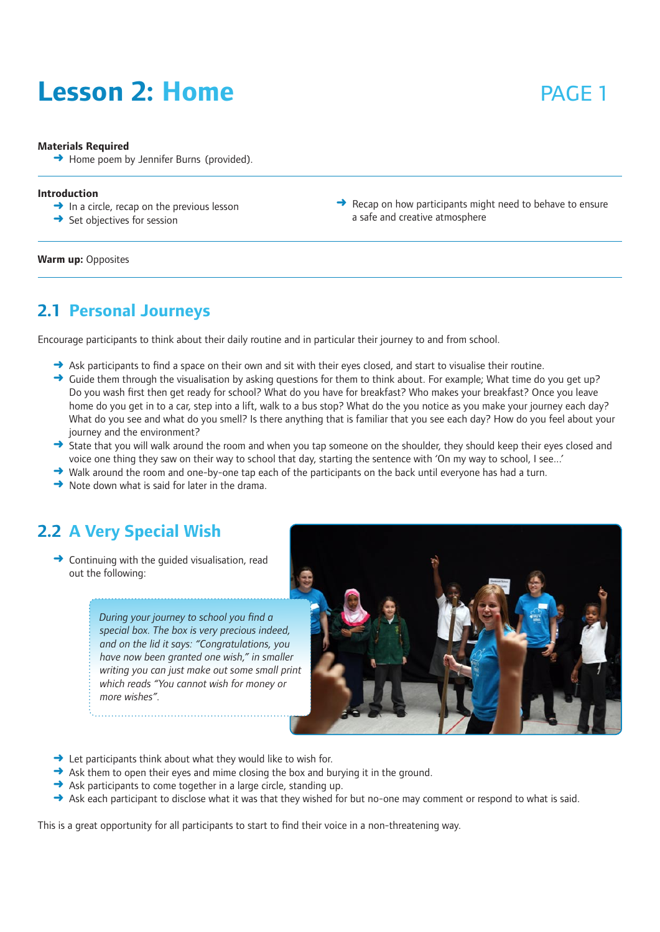# **Lesson 2: Home** *page 1*

#### **Materials Required**

**→** Home poem by Jennifer Burns (provided).

#### **Introduction**

- $\rightarrow$  In a circle, recap on the previous lesson
- $\rightarrow$  Set objectives for session

 $\rightarrow$  Recap on how participants might need to behave to ensure a safe and creative atmosphere

**Warm up:** Opposites

#### **2.1 Personal Journeys**

Encourage participants to think about their daily routine and in particular their journey to and from school.

- $\rightarrow$  Ask participants to find a space on their own and sit with their eyes closed, and start to visualise their routine.
- $\rightarrow$  Guide them through the visualisation by asking questions for them to think about. For example: What time do you get up? Do you wash first then get ready for school? What do you have for breakfast? Who makes your breakfast? Once you leave home do you get in to a car, step into a lift, walk to a bus stop? What do the you notice as you make your journey each day? What do you see and what do you smell? Is there anything that is familiar that you see each day? How do you feel about your journey and the environment?
- → State that you will walk around the room and when you tap someone on the shoulder, they should keep their eyes closed and voice one thing they saw on their way to school that day, starting the sentence with 'On my way to school, I see...'
- $\rightarrow$  Walk around the room and one-by-one tap each of the participants on the back until everyone has had a turn.
- $\rightarrow$  Note down what is said for later in the drama.

#### **2.2 A Very Special Wish**

 $\rightarrow$  Continuing with the quided visualisation, read out the following:

> *During your journey to school you find a special box. The box is very precious indeed, and on the lid it says: "Congratulations, you have now been granted one wish," in smaller writing you can just make out some small print which reads "You cannot wish for money or more wishes".*



- $\rightarrow$  Let participants think about what they would like to wish for.
- $\rightarrow$  Ask them to open their eyes and mime closing the box and burying it in the ground.
- $\rightarrow$  Ask participants to come together in a large circle, standing up.
- $\rightarrow$  Ask each participant to disclose what it was that they wished for but no-one may comment or respond to what is said.

This is a great opportunity for all participants to start to find their voice in a non-threatening way.

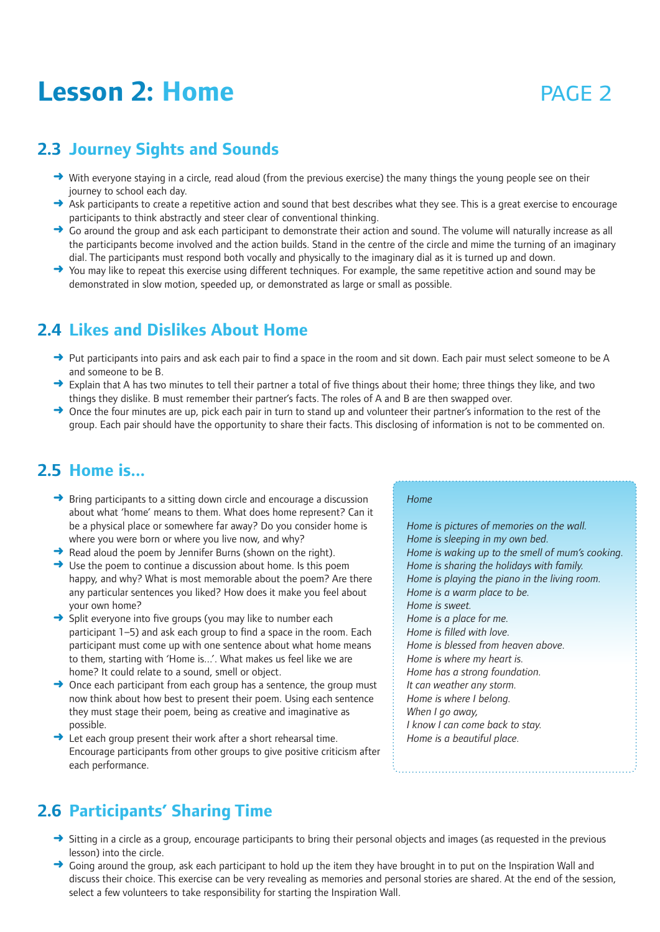## **Lesson 2: Home 2008 PAGE 2**

### **2.3 Journey Sights and Sounds**

- ➜ With everyone staying in a circle, read aloud (from the previous exercise) the many things the young people see on their journey to school each day.
- → Ask participants to create a repetitive action and sound that best describes what they see. This is a great exercise to encourage participants to think abstractly and steer clear of conventional thinking.
- ◆ Go around the group and ask each participant to demonstrate their action and sound. The volume will naturally increase as all the participants become involved and the action builds. Stand in the centre of the circle and mime the turning of an imaginary dial. The participants must respond both vocally and physically to the imaginary dial as it is turned up and down.
- You may like to repeat this exercise using different techniques. For example, the same repetitive action and sound may be demonstrated in slow motion, speeded up, or demonstrated as large or small as possible.

#### **2.4 Likes and Dislikes About Home**

- ➜ Put participants into pairs and ask each pair to find a space in the room and sit down. Each pair must select someone to be A and someone to be B.
- → Explain that A has two minutes to tell their partner a total of five things about their home; three things they like, and two things they dislike. B must remember their partner's facts. The roles of A and B are then swapped over.
- → Once the four minutes are up, pick each pair in turn to stand up and volunteer their partner's information to the rest of the group. Each pair should have the opportunity to share their facts. This disclosing of information is not to be commented on.

#### **2.5 Home is...**

- $\rightarrow$  Bring participants to a sitting down circle and encourage a discussion about what 'home' means to them. What does home represent? Can it be a physical place or somewhere far away? Do you consider home is where you were born or where you live now, and why?
- $\rightarrow$  Read aloud the poem by Jennifer Burns (shown on the right).
- $\rightarrow$  Use the poem to continue a discussion about home. Is this poem happy, and why? What is most memorable about the poem? Are there any particular sentences you liked? How does it make you feel about your own home?
- → Split everyone into five groups (you may like to number each participant 1–5) and ask each group to find a space in the room. Each participant must come up with one sentence about what home means to them, starting with 'Home is...'. What makes us feel like we are home? It could relate to a sound, smell or object.
- $\rightarrow$  Once each participant from each group has a sentence, the group must now think about how best to present their poem. Using each sentence they must stage their poem, being as creative and imaginative as possible.
- **→** Let each group present their work after a short rehearsal time. Encourage participants from other groups to give positive criticism after each performance.

#### *Home*

*Home is pictures of memories on the wall. Home is sleeping in my own bed. Home is waking up to the smell of mum's cooking. Home is sharing the holidays with family. Home is playing the piano in the living room. Home is a warm place to be. Home is sweet. Home is a place for me. Home is filled with love. Home is blessed from heaven above. Home is where my heart is. Home has a strong foundation. It can weather any storm. Home is where I belong. When I go away, I know I can come back to stay. Home is a beautiful place.*

### **2.6 Participants' Sharing Time**

- → Sitting in a circle as a group, encourage participants to bring their personal objects and images (as requested in the previous lesson) into the circle.
- $\rightarrow$  Going around the group, ask each participant to hold up the item they have brought in to put on the Inspiration Wall and discuss their choice. This exercise can be very revealing as memories and personal stories are shared. At the end of the session, select a few volunteers to take responsibility for starting the Inspiration Wall.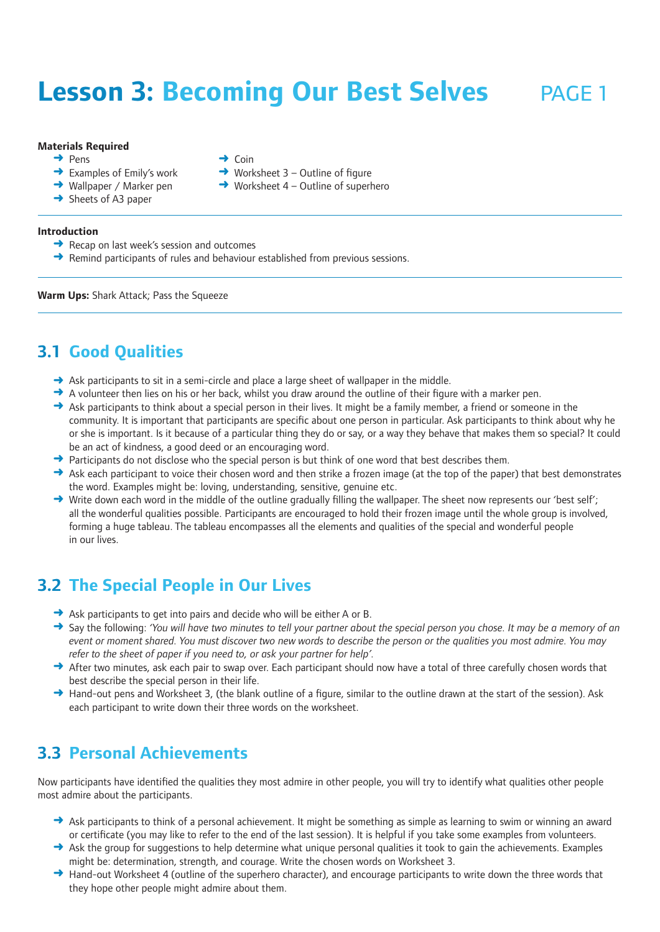# **Lesson 3: Becoming Our Best Selves** PAGE 1

#### **Materials Required**

- ➜ Pens
- $\rightarrow$  Examples of Emily's work
- **→** Wallpaper / Marker pen
- **→** Sheets of A3 paper
- $\rightarrow$  Coin
- $\rightarrow$  Worksheet 3 Outline of figure
- $\rightarrow$  Worksheet 4 Outline of superhero

- **Introduction**
	- $\rightarrow$  Recap on last week's session and outcomes
	- **→** Remind participants of rules and behaviour established from previous sessions.

**Warm Ups:** Shark Attack; Pass the Squeeze

#### **3.1 Good Qualities**

- → Ask participants to sit in a semi-circle and place a large sheet of wallpaper in the middle.
- $\rightarrow$  A volunteer then lies on his or her back, whilst you draw around the outline of their figure with a marker pen.
- $\rightarrow$  Ask participants to think about a special person in their lives. It might be a family member, a friend or someone in the community. It is important that participants are specific about one person in particular. Ask participants to think about why he or she is important. Is it because of a particular thing they do or say, or a way they behave that makes them so special? It could be an act of kindness, a good deed or an encouraging word.
- $\rightarrow$  Participants do not disclose who the special person is but think of one word that best describes them.
- → Ask each participant to voice their chosen word and then strike a frozen image (at the top of the paper) that best demonstrates the word. Examples might be: loving, understanding, sensitive, genuine etc.
- $\rightarrow$  Write down each word in the middle of the outline gradually filling the wallpaper. The sheet now represents our 'best self'; all the wonderful qualities possible. Participants are encouraged to hold their frozen image until the whole group is involved, forming a huge tableau. The tableau encompasses all the elements and qualities of the special and wonderful people in our lives.

### **3.2 The Special People in Our Lives**

- $\rightarrow$  Ask participants to get into pairs and decide who will be either A or B.
- ➜ Say the following: *'You will have two minutes to tell your partner about the special person you chose. It may be a memory of an event or moment shared. You must discover two new words to describe the person or the qualities you most admire. You may refer to the sheet of paper if you need to, or ask your partner for help'.*
- → After two minutes, ask each pair to swap over. Each participant should now have a total of three carefully chosen words that best describe the special person in their life.
- → Hand-out pens and Worksheet 3, (the blank outline of a figure, similar to the outline drawn at the start of the session). Ask each participant to write down their three words on the worksheet.

### **3.3 Personal Achievements**

Now participants have identified the qualities they most admire in other people, you will try to identify what qualities other people most admire about the participants.

- $\rightarrow$  Ask participants to think of a personal achievement. It might be something as simple as learning to swim or winning an award or certificate (you may like to refer to the end of the last session). It is helpful if you take some examples from volunteers.
- $\rightarrow$  Ask the group for suggestions to help determine what unique personal qualities it took to gain the achievements. Examples might be: determination, strength, and courage. Write the chosen words on Worksheet 3.
- → Hand-out Worksheet 4 (outline of the superhero character), and encourage participants to write down the three words that they hope other people might admire about them.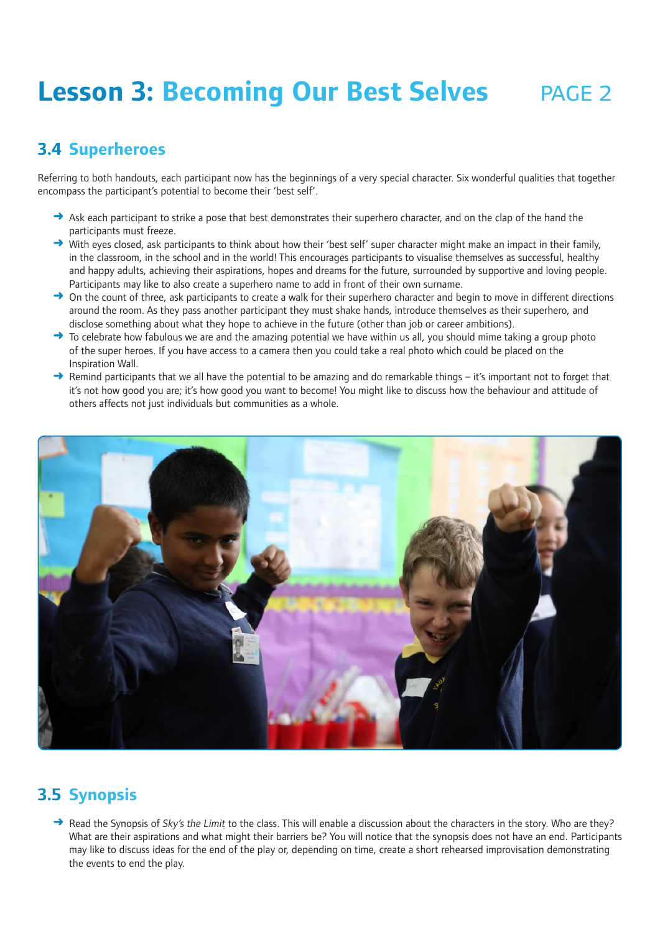# **Lesson 3: Becoming Our Best Selves** PAGE 2

### **3.4 Superheroes**

Referring to both handouts, each participant now has the beginnings of a very special character. Six wonderful qualities that together encompass the participant's potential to become their 'best self'.

- $\rightarrow$  Ask each participant to strike a pose that best demonstrates their superhero character, and on the clap of the hand the participants must freeze.
- ➜ With eyes closed, ask participants to think about how their 'best self' super character might make an impact in their family, in the classroom, in the school and in the world! This encourages participants to visualise themselves as successful, healthy and happy adults, achieving their aspirations, hopes and dreams for the future, surrounded by supportive and loving people. Participants may like to also create a superhero name to add in front of their own surname.
- → On the count of three, ask participants to create a walk for their superhero character and begin to move in different directions around the room. As they pass another participant they must shake hands, introduce themselves as their superhero, and disclose something about what they hope to achieve in the future (other than job or career ambitions).
- → To celebrate how fabulous we are and the amazing potential we have within us all, you should mime taking a group photo of the super heroes. If you have access to a camera then you could take a real photo which could be placed on the Inspiration Wall.
- Remind participants that we all have the potential to be amazing and do remarkable things it's important not to forget that it's not how good you are; it's how good you want to become! You might like to discuss how the behaviour and attitude of others affects not just individuals but communities as a whole.



## **3.5 Synopsis**

→ Read the Synopsis of Sky's the Limit to the class. This will enable a discussion about the characters in the story. Who are they? What are their aspirations and what might their barriers be? You will notice that the synopsis does not have an end. Participants may like to discuss ideas for the end of the play or, depending on time, create a short rehearsed improvisation demonstrating the events to end the play.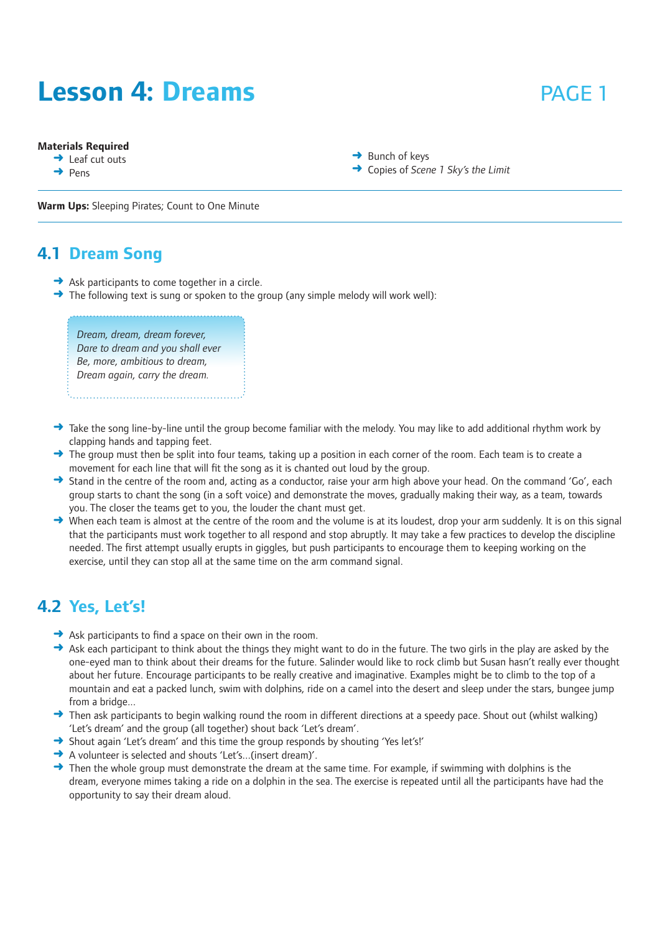## **Lesson 4: Dreams page 1**

#### **Materials Required**

**→** Leaf cut outs

 $\rightarrow$  Pens

- $\rightarrow$  Bunch of keys
- ➜ Copies of *Scene 1 Sky's the Limit*

**Warm Ups:** Sleeping Pirates; Count to One Minute

#### **4.1 Dream Song**

- $\rightarrow$  Ask participants to come together in a circle.
- $\rightarrow$  The following text is sung or spoken to the group (any simple melody will work well):

*Dream, dream, dream forever, Dare to dream and you shall ever Be, more, ambitious to dream, Dream again, carry the dream.*

- $\rightarrow$  Take the song line-by-line until the group become familiar with the melody. You may like to add additional rhythm work by clapping hands and tapping feet.
- $\rightarrow$  The group must then be split into four teams, taking up a position in each corner of the room. Each team is to create a movement for each line that will fit the song as it is chanted out loud by the group.
- → Stand in the centre of the room and, acting as a conductor, raise your arm high above your head. On the command 'Go', each group starts to chant the song (in a soft voice) and demonstrate the moves, gradually making their way, as a team, towards you. The closer the teams get to you, the louder the chant must get.
- → When each team is almost at the centre of the room and the volume is at its loudest, drop your arm suddenly. It is on this signal that the participants must work together to all respond and stop abruptly. It may take a few practices to develop the discipline needed. The first attempt usually erupts in giggles, but push participants to encourage them to keeping working on the exercise, until they can stop all at the same time on the arm command signal.

### **4.2 Yes, Let's!**

- **→** Ask participants to find a space on their own in the room.
- $\rightarrow$  Ask each participant to think about the things they might want to do in the future. The two girls in the play are asked by the one-eyed man to think about their dreams for the future. Salinder would like to rock climb but Susan hasn't really ever thought about her future. Encourage participants to be really creative and imaginative. Examples might be to climb to the top of a mountain and eat a packed lunch, swim with dolphins, ride on a camel into the desert and sleep under the stars, bungee jump from a bridge...
- → Then ask participants to begin walking round the room in different directions at a speedy pace. Shout out (whilst walking) 'Let's dream' and the group (all together) shout back 'Let's dream'.
- → Shout again 'Let's dream' and this time the group responds by shouting 'Yes let's!'
- ➜ A volunteer is selected and shouts 'Let's...(insert dream)'.
- $\rightarrow$  Then the whole group must demonstrate the dream at the same time. For example, if swimming with dolphins is the dream, everyone mimes taking a ride on a dolphin in the sea. The exercise is repeated until all the participants have had the opportunity to say their dream aloud.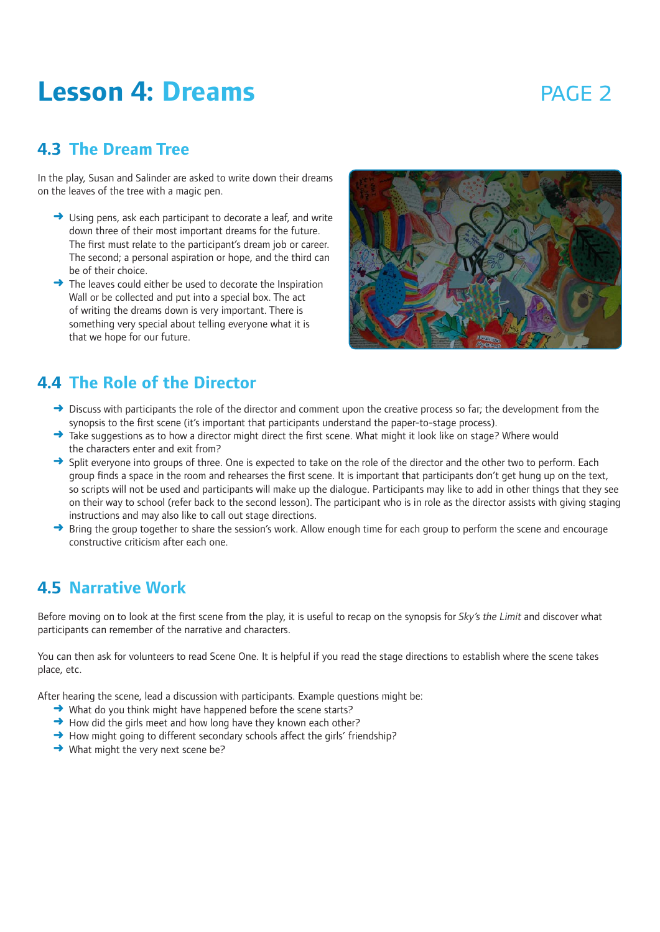## **Lesson 4: Dreams page 2 page 2**

#### **4.3 The Dream Tree**

In the play, Susan and Salinder are asked to write down their dreams on the leaves of the tree with a magic pen.

- $\rightarrow$  Using pens, ask each participant to decorate a leaf, and write down three of their most important dreams for the future. The first must relate to the participant's dream job or career. The second; a personal aspiration or hope, and the third can be of their choice.
- → The leaves could either be used to decorate the Inspiration Wall or be collected and put into a special box. The act of writing the dreams down is very important. There is something very special about telling everyone what it is that we hope for our future.



#### **4.4 The Role of the Director**

- $\rightarrow$  Discuss with participants the role of the director and comment upon the creative process so far; the development from the synopsis to the first scene (it's important that participants understand the paper-to-stage process).
- → Take suggestions as to how a director might direct the first scene. What might it look like on stage? Where would the characters enter and exit from?
- → Split everyone into groups of three. One is expected to take on the role of the director and the other two to perform. Each group finds a space in the room and rehearses the first scene. It is important that participants don't get hung up on the text, so scripts will not be used and participants will make up the dialogue. Participants may like to add in other things that they see on their way to school (refer back to the second lesson). The participant who is in role as the director assists with giving staging instructions and may also like to call out stage directions.
- Bring the group together to share the session's work. Allow enough time for each group to perform the scene and encourage constructive criticism after each one.

#### **4.5 Narrative Work**

Before moving on to look at the first scene from the play, it is useful to recap on the synopsis for *Sky's the Limit* and discover what participants can remember of the narrative and characters.

You can then ask for volunteers to read Scene One. It is helpful if you read the stage directions to establish where the scene takes place, etc.

After hearing the scene, lead a discussion with participants. Example questions might be:

- ➜ What do you think might have happened before the scene starts?
- $\rightarrow$  How did the girls meet and how long have they known each other?
- → How might going to different secondary schools affect the girls' friendship?
- **→** What might the very next scene be?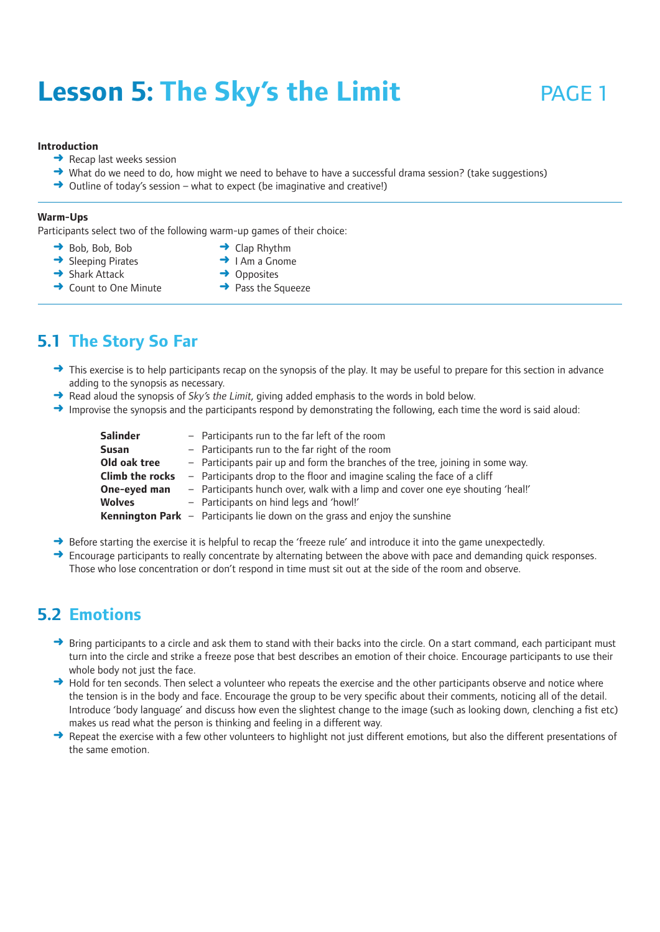# **Lesson 5: The Sky's the Limit** PAGE 1

#### **Introduction**

- $\rightarrow$  Recap last weeks session
- → What do we need to do, how might we need to behave to have a successful drama session? (take suggestions)
- ➜ Outline of today's session what to expect (be imaginative and creative!)

#### **Warm-Ups**

Participants select two of the following warm-up games of their choice:

- → Bob, Bob, Bob
- **→** Clap Rhythm **→** I Am a Gnome
- **→** Sleeping Pirates
- $\rightarrow$  Shark Attack
- **→** Opposites
- **→ Count to One Minute**
- $\rightarrow$  Pass the Squeeze

### **5.1 The Story So Far**

- → This exercise is to help participants recap on the synopsis of the play. It may be useful to prepare for this section in advance adding to the synopsis as necessary.
- ➜ Read aloud the synopsis of *Sky's the Limit*, giving added emphasis to the words in bold below.
- $\rightarrow$  Improvise the synopsis and the participants respond by demonstrating the following, each time the word is said aloud:

| - Participants run to the far left of the room<br>$-$ Participants run to the far right of the room<br>- Participants pair up and form the branches of the tree, joining in some way.<br>- Participants drop to the floor and imagine scaling the face of a cliff<br>- Participants hunch over, walk with a limp and cover one eye shouting 'heal!'<br>- Participants on hind legs and 'howl!' |
|------------------------------------------------------------------------------------------------------------------------------------------------------------------------------------------------------------------------------------------------------------------------------------------------------------------------------------------------------------------------------------------------|
| <b>Kennington Park</b> $-$ Participants lie down on the grass and enjoy the sunshine                                                                                                                                                                                                                                                                                                           |
|                                                                                                                                                                                                                                                                                                                                                                                                |

- $\rightarrow$  Before starting the exercise it is helpful to recap the 'freeze rule' and introduce it into the game unexpectedly.
- $\rightarrow$  Encourage participants to really concentrate by alternating between the above with pace and demanding quick responses. Those who lose concentration or don't respond in time must sit out at the side of the room and observe.

#### **5.2 Emotions**

- → Bring participants to a circle and ask them to stand with their backs into the circle. On a start command, each participant must turn into the circle and strike a freeze pose that best describes an emotion of their choice. Encourage participants to use their whole body not just the face.
- → Hold for ten seconds. Then select a volunteer who repeats the exercise and the other participants observe and notice where the tension is in the body and face. Encourage the group to be very specific about their comments, noticing all of the detail. Introduce 'body language' and discuss how even the slightest change to the image (such as looking down, clenching a fist etc) makes us read what the person is thinking and feeling in a different way.
- → Repeat the exercise with a few other volunteers to highlight not just different emotions, but also the different presentations of the same emotion.